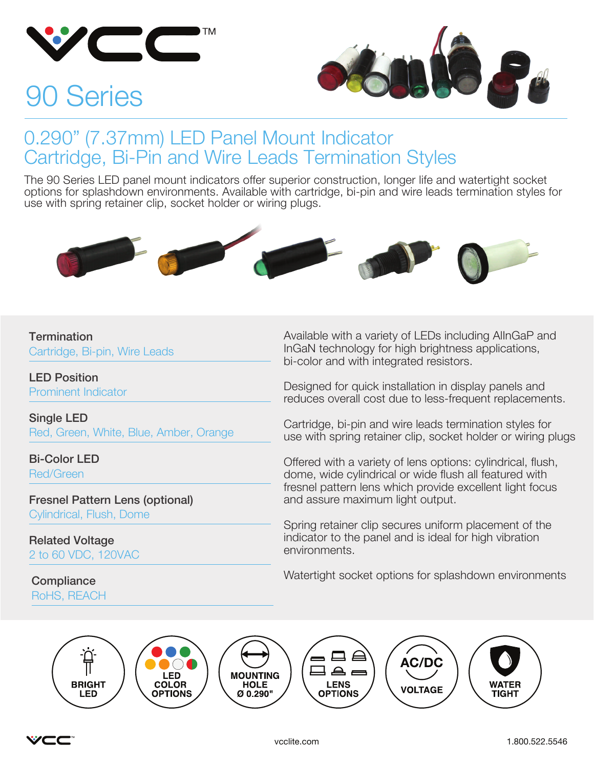

# 90 Series



#### 0.290" (7.37mm) LED Panel Mount Indicator Cartridge, Bi-Pin and Wire Leads Termination Styles

The 90 Series LED panel mount indicators offer superior construction, longer life and watertight socket options for splashdown environments. Available with cartridge, bi-pin and wire leads termination styles for use with spring retainer clip, socket holder or wiring plugs.



#### **Termination**

Cartridge, Bi-pin, Wire Leads

LED Position Prominent Indicator

Single LED Red, Green, White, Blue, Amber, Orange

Bi-Color LED Red/Green

Fresnel Pattern Lens (optional) Cylindrical, Flush, Dome

Related Voltage 2 to 60 VDC, 120VAC

RoHS, REACH

Available with a variety of LEDs including AlInGaP and InGaN technology for high brightness applications, bi-color and with integrated resistors.

Designed for quick installation in display panels and reduces overall cost due to less-frequent replacements.

Cartridge, bi-pin and wire leads termination styles for use with spring retainer clip, socket holder or wiring plugs

Offered with a variety of lens options: cylindrical, flush, dome, wide cylindrical or wide flush all featured with fresnel pattern lens which provide excellent light focus and assure maximum light output.

Spring retainer clip secures uniform placement of the indicator to the panel and is ideal for high vibration environments.

Watertight socket options for splashdown environments Compliance